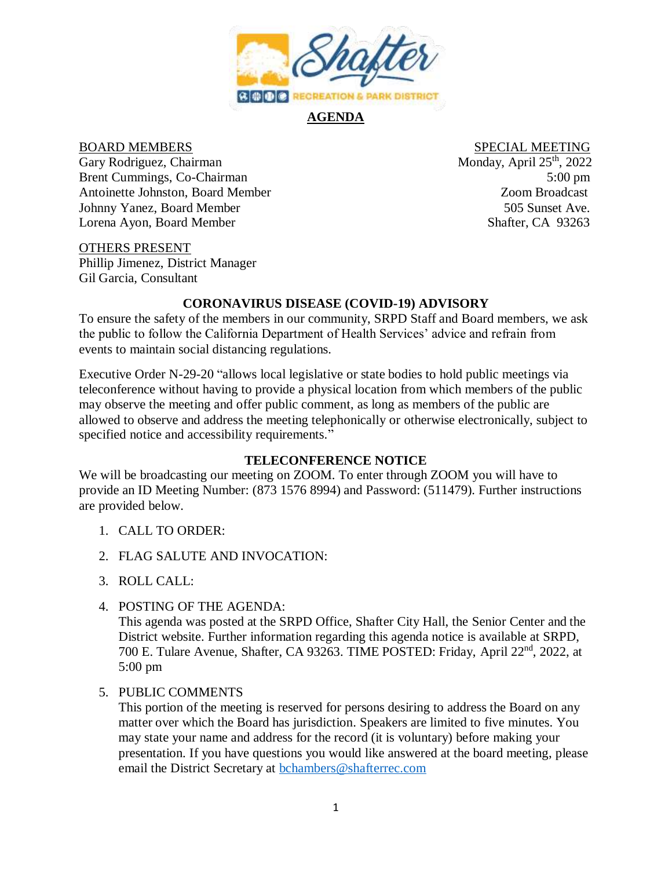

### **AGENDA**

Gary Rodriguez, Chairman Monday, April 25<sup>th</sup>, 2022 Brent Cummings, Co-Chairman 5:00 pm Antoinette Johnston, Board Member Zoom Broadcast Johnny Yanez, Board Member 505 Sunset Ave. Lorena Ayon, Board Member Shafter, CA 93263

# BOARD MEMBERS SPECIAL MEETING

### OTHERS PRESENT

Phillip Jimenez, District Manager Gil Garcia, Consultant

### **CORONAVIRUS DISEASE (COVID-19) ADVISORY**

To ensure the safety of the members in our community, SRPD Staff and Board members, we ask the public to follow the California Department of Health Services' advice and refrain from events to maintain social distancing regulations.

Executive Order N-29-20 "allows local legislative or state bodies to hold public meetings via teleconference without having to provide a physical location from which members of the public may observe the meeting and offer public comment, as long as members of the public are allowed to observe and address the meeting telephonically or otherwise electronically, subject to specified notice and accessibility requirements."

### **TELECONFERENCE NOTICE**

We will be broadcasting our meeting on ZOOM. To enter through ZOOM you will have to provide an ID Meeting Number: (873 1576 8994) and Password: (511479). Further instructions are provided below.

### 1. CALL TO ORDER:

- 2. FLAG SALUTE AND INVOCATION:
- 3. ROLL CALL:
- 4. POSTING OF THE AGENDA:

This agenda was posted at the SRPD Office, Shafter City Hall, the Senior Center and the District website. Further information regarding this agenda notice is available at SRPD, 700 E. Tulare Avenue, Shafter, CA 93263. TIME POSTED: Friday, April 22nd, 2022, at 5:00 pm

### 5. PUBLIC COMMENTS

This portion of the meeting is reserved for persons desiring to address the Board on any matter over which the Board has jurisdiction. Speakers are limited to five minutes. You may state your name and address for the record (it is voluntary) before making your presentation. If you have questions you would like answered at the board meeting, please email the District Secretary at [bchambers@shafterrec.com](mailto:bchambers@shafterrec.com)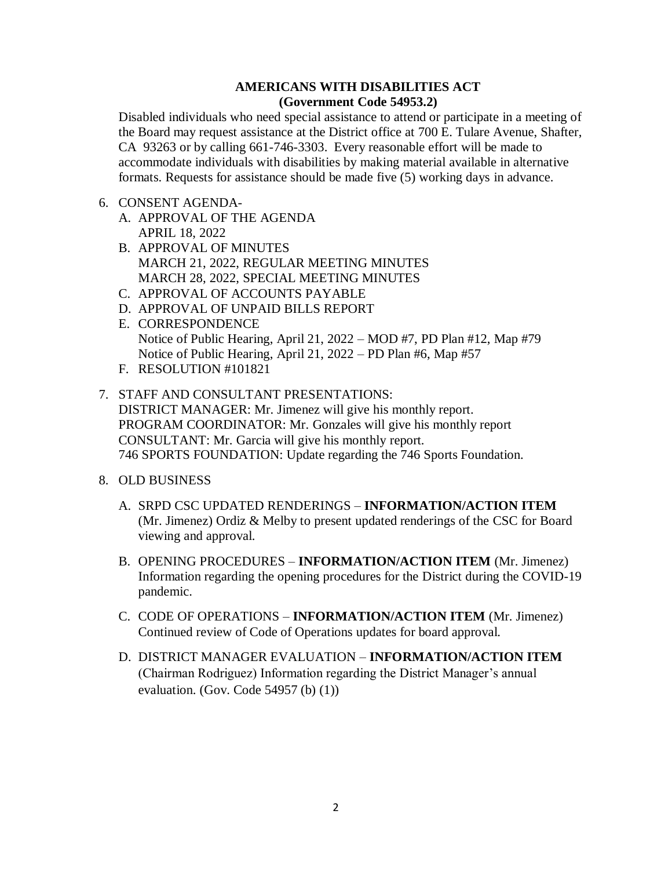### **AMERICANS WITH DISABILITIES ACT (Government Code 54953.2)**

Disabled individuals who need special assistance to attend or participate in a meeting of the Board may request assistance at the District office at 700 E. Tulare Avenue, Shafter, CA 93263 or by calling 661-746-3303. Every reasonable effort will be made to accommodate individuals with disabilities by making material available in alternative formats. Requests for assistance should be made five (5) working days in advance.

### 6. CONSENT AGENDA-

- A. APPROVAL OF THE AGENDA APRIL 18, 2022
- B. APPROVAL OF MINUTES MARCH 21, 2022, REGULAR MEETING MINUTES MARCH 28, 2022, SPECIAL MEETING MINUTES
- C. APPROVAL OF ACCOUNTS PAYABLE
- D. APPROVAL OF UNPAID BILLS REPORT
- E. CORRESPONDENCE Notice of Public Hearing, April 21, 2022 – MOD #7, PD Plan #12, Map #79 Notice of Public Hearing, April 21, 2022 – PD Plan #6, Map #57
- F. RESOLUTION #101821
- 7. STAFF AND CONSULTANT PRESENTATIONS: DISTRICT MANAGER: Mr. Jimenez will give his monthly report. PROGRAM COORDINATOR: Mr. Gonzales will give his monthly report CONSULTANT: Mr. Garcia will give his monthly report. 746 SPORTS FOUNDATION: Update regarding the 746 Sports Foundation.
- 8. OLD BUSINESS
	- A. SRPD CSC UPDATED RENDERINGS **INFORMATION/ACTION ITEM** (Mr. Jimenez) Ordiz & Melby to present updated renderings of the CSC for Board viewing and approval.
	- B. OPENING PROCEDURES **INFORMATION/ACTION ITEM** (Mr. Jimenez) Information regarding the opening procedures for the District during the COVID-19 pandemic.
	- C. CODE OF OPERATIONS **INFORMATION/ACTION ITEM** (Mr. Jimenez) Continued review of Code of Operations updates for board approval.
	- D. DISTRICT MANAGER EVALUATION **INFORMATION/ACTION ITEM** (Chairman Rodriguez) Information regarding the District Manager's annual evaluation. (Gov. Code 54957 (b) (1))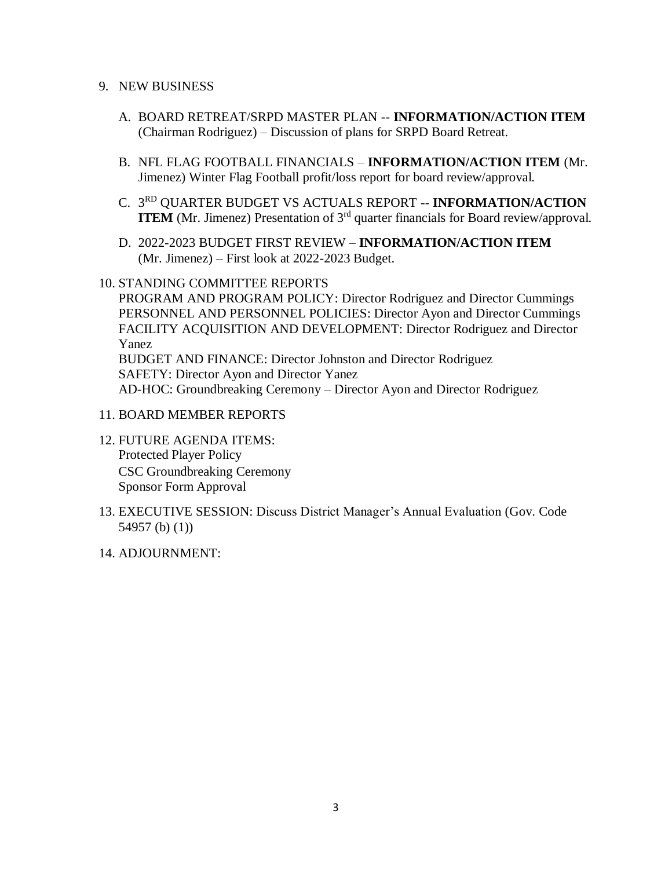### 9. NEW BUSINESS

- A. BOARD RETREAT/SRPD MASTER PLAN -- **INFORMATION/ACTION ITEM**  (Chairman Rodriguez) – Discussion of plans for SRPD Board Retreat.
- B. NFL FLAG FOOTBALL FINANCIALS **INFORMATION/ACTION ITEM** (Mr. Jimenez) Winter Flag Football profit/loss report for board review/approval.
- C. 3 RD QUARTER BUDGET VS ACTUALS REPORT -- **INFORMATION/ACTION ITEM** (Mr. Jimenez) Presentation of 3<sup>rd</sup> quarter financials for Board review/approval.
- D. 2022-2023 BUDGET FIRST REVIEW **INFORMATION/ACTION ITEM**  (Mr. Jimenez) – First look at 2022-2023 Budget.

### 10. STANDING COMMITTEE REPORTS

PROGRAM AND PROGRAM POLICY: Director Rodriguez and Director Cummings PERSONNEL AND PERSONNEL POLICIES: Director Ayon and Director Cummings FACILITY ACQUISITION AND DEVELOPMENT: Director Rodriguez and Director Yanez

BUDGET AND FINANCE: Director Johnston and Director Rodriguez SAFETY: Director Ayon and Director Yanez AD-HOC: Groundbreaking Ceremony – Director Ayon and Director Rodriguez

### 11. BOARD MEMBER REPORTS

- 12. FUTURE AGENDA ITEMS: Protected Player Policy CSC Groundbreaking Ceremony Sponsor Form Approval
- 13. EXECUTIVE SESSION: Discuss District Manager's Annual Evaluation (Gov. Code 54957 (b) (1))
- 14. ADJOURNMENT: